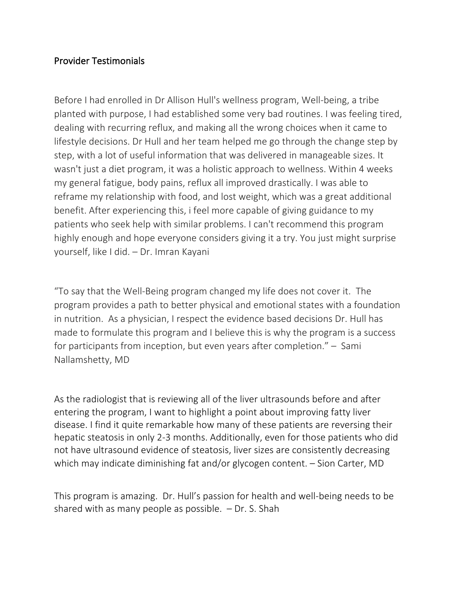## Provider Testimonials

Before I had enrolled in Dr Allison Hull's wellness program, Well-being, a tribe planted with purpose, I had established some very bad routines. I was feeling tired, dealing with recurring reflux, and making all the wrong choices when it came to lifestyle decisions. Dr Hull and her team helped me go through the change step by step, with a lot of useful information that was delivered in manageable sizes. It wasn't just a diet program, it was a holistic approach to wellness. Within 4 weeks my general fatigue, body pains, reflux all improved drastically. I was able to reframe my relationship with food, and lost weight, which was a great additional benefit. After experiencing this, i feel more capable of giving guidance to my patients who seek help with similar problems. I can't recommend this program highly enough and hope everyone considers giving it a try. You just might surprise yourself, like I did. – Dr. Imran Kayani

"To say that the Well-Being program changed my life does not cover it. The program provides a path to better physical and emotional states with a foundation in nutrition. As a physician, I respect the evidence based decisions Dr. Hull has made to formulate this program and I believe this is why the program is a success for participants from inception, but even years after completion." – Sami Nallamshetty, MD

As the radiologist that is reviewing all of the liver ultrasounds before and after entering the program, I want to highlight a point about improving fatty liver disease. I find it quite remarkable how many of these patients are reversing their hepatic steatosis in only 2-3 months. Additionally, even for those patients who did not have ultrasound evidence of steatosis, liver sizes are consistently decreasing which may indicate diminishing fat and/or glycogen content. – Sion Carter, MD

This program is amazing. Dr. Hull's passion for health and well-being needs to be shared with as many people as possible. – Dr. S. Shah